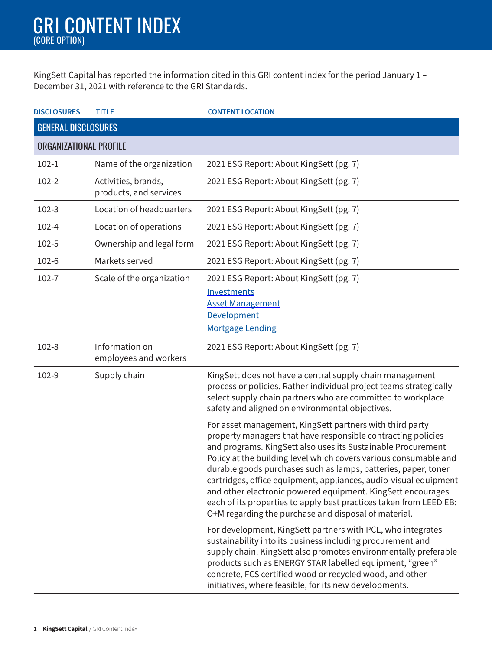KingSett Capital has reported the information cited in this GRI content index for the period January 1 – December 31, 2021 with reference to the GRI Standards.

| <b>DISCLOSURES</b>            | <b>TITLE</b>                                  | <b>CONTENT LOCATION</b>                                                                                                                                                                                                                                                                                                                                                                                                                                                                                                                                                                         |
|-------------------------------|-----------------------------------------------|-------------------------------------------------------------------------------------------------------------------------------------------------------------------------------------------------------------------------------------------------------------------------------------------------------------------------------------------------------------------------------------------------------------------------------------------------------------------------------------------------------------------------------------------------------------------------------------------------|
| <b>GENERAL DISCLOSURES</b>    |                                               |                                                                                                                                                                                                                                                                                                                                                                                                                                                                                                                                                                                                 |
| <b>ORGANIZATIONAL PROFILE</b> |                                               |                                                                                                                                                                                                                                                                                                                                                                                                                                                                                                                                                                                                 |
| $102 - 1$                     | Name of the organization                      | 2021 ESG Report: About KingSett (pg. 7)                                                                                                                                                                                                                                                                                                                                                                                                                                                                                                                                                         |
| 102-2                         | Activities, brands,<br>products, and services | 2021 ESG Report: About KingSett (pg. 7)                                                                                                                                                                                                                                                                                                                                                                                                                                                                                                                                                         |
| $102-3$                       | Location of headquarters                      | 2021 ESG Report: About KingSett (pg. 7)                                                                                                                                                                                                                                                                                                                                                                                                                                                                                                                                                         |
| 102-4                         | Location of operations                        | 2021 ESG Report: About KingSett (pg. 7)                                                                                                                                                                                                                                                                                                                                                                                                                                                                                                                                                         |
| 102-5                         | Ownership and legal form                      | 2021 ESG Report: About KingSett (pg. 7)                                                                                                                                                                                                                                                                                                                                                                                                                                                                                                                                                         |
| 102-6                         | Markets served                                | 2021 ESG Report: About KingSett (pg. 7)                                                                                                                                                                                                                                                                                                                                                                                                                                                                                                                                                         |
| 102-7                         | Scale of the organization                     | 2021 ESG Report: About KingSett (pg. 7)<br>Investments<br><b>Asset Management</b><br>Development<br><b>Mortgage Lending</b>                                                                                                                                                                                                                                                                                                                                                                                                                                                                     |
| 102-8                         | Information on<br>employees and workers       | 2021 ESG Report: About KingSett (pg. 7)                                                                                                                                                                                                                                                                                                                                                                                                                                                                                                                                                         |
| 102-9                         | Supply chain                                  | KingSett does not have a central supply chain management<br>process or policies. Rather individual project teams strategically<br>select supply chain partners who are committed to workplace<br>safety and aligned on environmental objectives.                                                                                                                                                                                                                                                                                                                                                |
|                               |                                               | For asset management, KingSett partners with third party<br>property managers that have responsible contracting policies<br>and programs. KingSett also uses its Sustainable Procurement<br>Policy at the building level which covers various consumable and<br>durable goods purchases such as lamps, batteries, paper, toner<br>cartridges, office equipment, appliances, audio-visual equipment<br>and other electronic powered equipment. KingSett encourages<br>each of its properties to apply best practices taken from LEED EB:<br>O+M regarding the purchase and disposal of material. |
|                               |                                               | For development, KingSett partners with PCL, who integrates<br>sustainability into its business including procurement and<br>supply chain. KingSett also promotes environmentally preferable<br>products such as ENERGY STAR labelled equipment, "green"<br>concrete, FCS certified wood or recycled wood, and other<br>initiatives, where feasible, for its new developments.                                                                                                                                                                                                                  |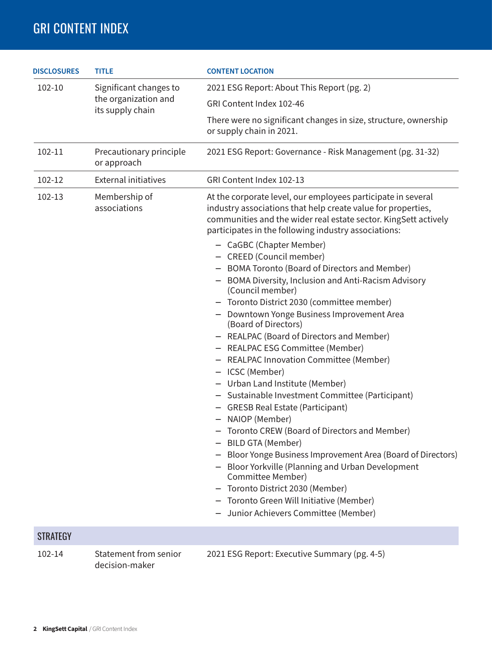| <b>DISCLOSURES</b> | <b>TITLE</b>                             | <b>CONTENT LOCATION</b>                                                                                                                                                                                                                                                                                                                                                                                                                                                                                                                                                                                                                                                                                                                                                                                                                                                                                                                                                                                                                                                                                                                                                                                |
|--------------------|------------------------------------------|--------------------------------------------------------------------------------------------------------------------------------------------------------------------------------------------------------------------------------------------------------------------------------------------------------------------------------------------------------------------------------------------------------------------------------------------------------------------------------------------------------------------------------------------------------------------------------------------------------------------------------------------------------------------------------------------------------------------------------------------------------------------------------------------------------------------------------------------------------------------------------------------------------------------------------------------------------------------------------------------------------------------------------------------------------------------------------------------------------------------------------------------------------------------------------------------------------|
| 102-10<br>102-11   | Significant changes to                   | 2021 ESG Report: About This Report (pg. 2)                                                                                                                                                                                                                                                                                                                                                                                                                                                                                                                                                                                                                                                                                                                                                                                                                                                                                                                                                                                                                                                                                                                                                             |
|                    | the organization and<br>its supply chain | GRI Content Index 102-46                                                                                                                                                                                                                                                                                                                                                                                                                                                                                                                                                                                                                                                                                                                                                                                                                                                                                                                                                                                                                                                                                                                                                                               |
|                    |                                          | There were no significant changes in size, structure, ownership<br>or supply chain in 2021.                                                                                                                                                                                                                                                                                                                                                                                                                                                                                                                                                                                                                                                                                                                                                                                                                                                                                                                                                                                                                                                                                                            |
|                    | Precautionary principle<br>or approach   | 2021 ESG Report: Governance - Risk Management (pg. 31-32)                                                                                                                                                                                                                                                                                                                                                                                                                                                                                                                                                                                                                                                                                                                                                                                                                                                                                                                                                                                                                                                                                                                                              |
| 102-12             | <b>External initiatives</b>              | GRI Content Index 102-13                                                                                                                                                                                                                                                                                                                                                                                                                                                                                                                                                                                                                                                                                                                                                                                                                                                                                                                                                                                                                                                                                                                                                                               |
| 102-13             | Membership of<br>associations            | At the corporate level, our employees participate in several<br>industry associations that help create value for properties,<br>communities and the wider real estate sector. KingSett actively<br>participates in the following industry associations:<br>- CaGBC (Chapter Member)<br>- CREED (Council member)<br>- BOMA Toronto (Board of Directors and Member)<br>- BOMA Diversity, Inclusion and Anti-Racism Advisory<br>(Council member)<br>- Toronto District 2030 (committee member)<br>- Downtown Yonge Business Improvement Area<br>(Board of Directors)<br>- REALPAC (Board of Directors and Member)<br>- REALPAC ESG Committee (Member)<br>- REALPAC Innovation Committee (Member)<br>- ICSC (Member)<br>- Urban Land Institute (Member)<br>- Sustainable Investment Committee (Participant)<br>- GRESB Real Estate (Participant)<br>- NAIOP (Member)<br>- Toronto CREW (Board of Directors and Member)<br>- BILD GTA (Member)<br>Bloor Yonge Business Improvement Area (Board of Directors)<br>Bloor Yorkville (Planning and Urban Development<br>Committee Member)<br>- Toronto District 2030 (Member)<br>Toronto Green Will Initiative (Member)<br>- Junior Achievers Committee (Member) |
| <b>STRATEGY</b>    |                                          |                                                                                                                                                                                                                                                                                                                                                                                                                                                                                                                                                                                                                                                                                                                                                                                                                                                                                                                                                                                                                                                                                                                                                                                                        |
| 102-14             | Statement from senior                    | 2021 ESG Report: Executive Summary (pg. 4-5)                                                                                                                                                                                                                                                                                                                                                                                                                                                                                                                                                                                                                                                                                                                                                                                                                                                                                                                                                                                                                                                                                                                                                           |

decision-maker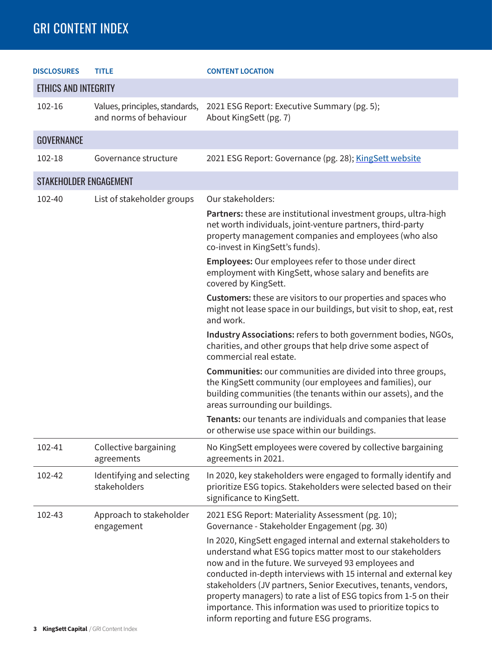| <b>DISCLOSURES</b>            | <b>TITLE</b>                                             | <b>CONTENT LOCATION</b>                                                                                                                                                                                                                                                                                                                                                                                                                                                                                       |
|-------------------------------|----------------------------------------------------------|---------------------------------------------------------------------------------------------------------------------------------------------------------------------------------------------------------------------------------------------------------------------------------------------------------------------------------------------------------------------------------------------------------------------------------------------------------------------------------------------------------------|
| <b>ETHICS AND INTEGRITY</b>   |                                                          |                                                                                                                                                                                                                                                                                                                                                                                                                                                                                                               |
| 102-16                        | Values, principles, standards,<br>and norms of behaviour | 2021 ESG Report: Executive Summary (pg. 5);<br>About KingSett (pg. 7)                                                                                                                                                                                                                                                                                                                                                                                                                                         |
| <b>GOVERNANCE</b>             |                                                          |                                                                                                                                                                                                                                                                                                                                                                                                                                                                                                               |
| 102-18                        | Governance structure                                     | 2021 ESG Report: Governance (pg. 28); KingSett website                                                                                                                                                                                                                                                                                                                                                                                                                                                        |
| <b>STAKEHOLDER ENGAGEMENT</b> |                                                          |                                                                                                                                                                                                                                                                                                                                                                                                                                                                                                               |
| 102-40                        | List of stakeholder groups                               | Our stakeholders:                                                                                                                                                                                                                                                                                                                                                                                                                                                                                             |
|                               |                                                          | Partners: these are institutional investment groups, ultra-high<br>net worth individuals, joint-venture partners, third-party<br>property management companies and employees (who also<br>co-invest in KingSett's funds).                                                                                                                                                                                                                                                                                     |
|                               |                                                          | <b>Employees:</b> Our employees refer to those under direct<br>employment with KingSett, whose salary and benefits are<br>covered by KingSett.                                                                                                                                                                                                                                                                                                                                                                |
|                               |                                                          | Customers: these are visitors to our properties and spaces who<br>might not lease space in our buildings, but visit to shop, eat, rest<br>and work.                                                                                                                                                                                                                                                                                                                                                           |
|                               |                                                          | Industry Associations: refers to both government bodies, NGOs,<br>charities, and other groups that help drive some aspect of<br>commercial real estate.                                                                                                                                                                                                                                                                                                                                                       |
|                               |                                                          | Communities: our communities are divided into three groups,<br>the KingSett community (our employees and families), our<br>building communities (the tenants within our assets), and the<br>areas surrounding our buildings.                                                                                                                                                                                                                                                                                  |
|                               |                                                          | Tenants: our tenants are individuals and companies that lease<br>or otherwise use space within our buildings.                                                                                                                                                                                                                                                                                                                                                                                                 |
| 102-41                        | Collective bargaining<br>agreements                      | No KingSett employees were covered by collective bargaining<br>agreements in 2021.                                                                                                                                                                                                                                                                                                                                                                                                                            |
| 102-42                        | Identifying and selecting<br>stakeholders                | In 2020, key stakeholders were engaged to formally identify and<br>prioritize ESG topics. Stakeholders were selected based on their<br>significance to KingSett.                                                                                                                                                                                                                                                                                                                                              |
| 102-43                        | Approach to stakeholder<br>engagement                    | 2021 ESG Report: Materiality Assessment (pg. 10);<br>Governance - Stakeholder Engagement (pg. 30)                                                                                                                                                                                                                                                                                                                                                                                                             |
|                               |                                                          | In 2020, KingSett engaged internal and external stakeholders to<br>understand what ESG topics matter most to our stakeholders<br>now and in the future. We surveyed 93 employees and<br>conducted in-depth interviews with 15 internal and external key<br>stakeholders (JV partners, Senior Executives, tenants, vendors,<br>property managers) to rate a list of ESG topics from 1-5 on their<br>importance. This information was used to prioritize topics to<br>inform reporting and future ESG programs. |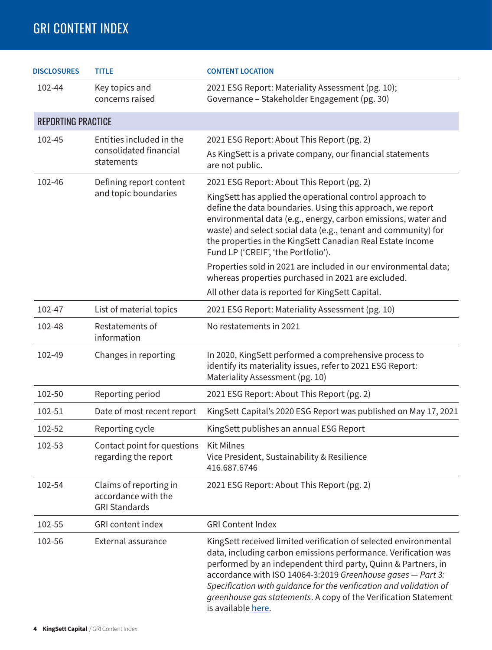| <b>DISCLOSURES</b>        | <b>TITLE</b>                                                          | <b>CONTENT LOCATION</b>                                                                                                                                                                                                                                                                                                                                                                                                                                                                                                                                                                   |
|---------------------------|-----------------------------------------------------------------------|-------------------------------------------------------------------------------------------------------------------------------------------------------------------------------------------------------------------------------------------------------------------------------------------------------------------------------------------------------------------------------------------------------------------------------------------------------------------------------------------------------------------------------------------------------------------------------------------|
| 102-44                    | Key topics and<br>concerns raised                                     | 2021 ESG Report: Materiality Assessment (pg. 10);<br>Governance - Stakeholder Engagement (pg. 30)                                                                                                                                                                                                                                                                                                                                                                                                                                                                                         |
| <b>REPORTING PRACTICE</b> |                                                                       |                                                                                                                                                                                                                                                                                                                                                                                                                                                                                                                                                                                           |
| 102-45                    | Entities included in the<br>consolidated financial<br>statements      | 2021 ESG Report: About This Report (pg. 2)<br>As KingSett is a private company, our financial statements<br>are not public.                                                                                                                                                                                                                                                                                                                                                                                                                                                               |
| 102-46                    | Defining report content<br>and topic boundaries                       | 2021 ESG Report: About This Report (pg. 2)<br>KingSett has applied the operational control approach to<br>define the data boundaries. Using this approach, we report<br>environmental data (e.g., energy, carbon emissions, water and<br>waste) and select social data (e.g., tenant and community) for<br>the properties in the KingSett Canadian Real Estate Income<br>Fund LP ('CREIF', 'the Portfolio').<br>Properties sold in 2021 are included in our environmental data;<br>whereas properties purchased in 2021 are excluded.<br>All other data is reported for KingSett Capital. |
| 102-47                    | List of material topics                                               | 2021 ESG Report: Materiality Assessment (pg. 10)                                                                                                                                                                                                                                                                                                                                                                                                                                                                                                                                          |
| 102-48                    | Restatements of<br>information                                        | No restatements in 2021                                                                                                                                                                                                                                                                                                                                                                                                                                                                                                                                                                   |
| 102-49                    | Changes in reporting                                                  | In 2020, KingSett performed a comprehensive process to<br>identify its materiality issues, refer to 2021 ESG Report:<br>Materiality Assessment (pg. 10)                                                                                                                                                                                                                                                                                                                                                                                                                                   |
| 102-50                    | Reporting period                                                      | 2021 ESG Report: About This Report (pg. 2)                                                                                                                                                                                                                                                                                                                                                                                                                                                                                                                                                |
| 102-51                    | Date of most recent report                                            | KingSett Capital's 2020 ESG Report was published on May 17, 2021                                                                                                                                                                                                                                                                                                                                                                                                                                                                                                                          |
| 102-52                    | Reporting cycle                                                       | KingSett publishes an annual ESG Report                                                                                                                                                                                                                                                                                                                                                                                                                                                                                                                                                   |
| 102-53                    | Contact point for questions<br>regarding the report                   | <b>Kit Milnes</b><br>Vice President, Sustainability & Resilience<br>416.687.6746                                                                                                                                                                                                                                                                                                                                                                                                                                                                                                          |
| 102-54                    | Claims of reporting in<br>accordance with the<br><b>GRI Standards</b> | 2021 ESG Report: About This Report (pg. 2)                                                                                                                                                                                                                                                                                                                                                                                                                                                                                                                                                |
| 102-55                    | <b>GRI</b> content index                                              | <b>GRI Content Index</b>                                                                                                                                                                                                                                                                                                                                                                                                                                                                                                                                                                  |
| 102-56                    | External assurance                                                    | KingSett received limited verification of selected environmental<br>data, including carbon emissions performance. Verification was<br>performed by an independent third party, Quinn & Partners, in<br>accordance with ISO 14064-3:2019 Greenhouse gases - Part 3:<br>Specification with guidance for the verification and validation of<br>greenhouse gas statements. A copy of the Verification Statement<br>is available here.                                                                                                                                                         |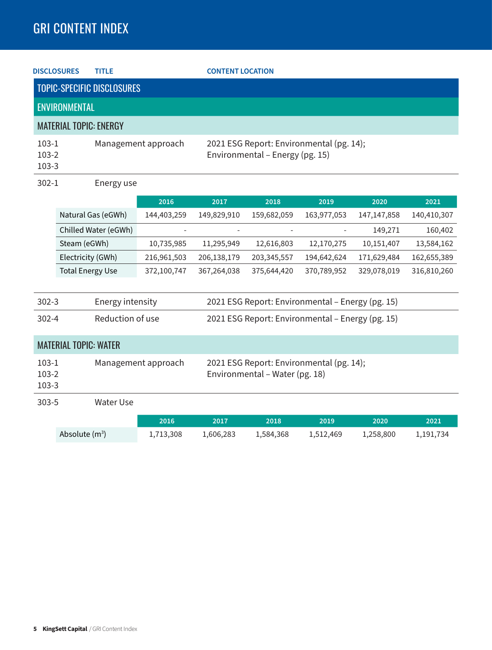| <b>TITLE</b><br><b>DISCLOSURES</b><br><b>CONTENT LOCATION</b> |                              |                                                                            |                     |                                                  |                                                                             |             |               |             |
|---------------------------------------------------------------|------------------------------|----------------------------------------------------------------------------|---------------------|--------------------------------------------------|-----------------------------------------------------------------------------|-------------|---------------|-------------|
|                                                               |                              | <b>TOPIC-SPECIFIC DISCLOSURES</b>                                          |                     |                                                  |                                                                             |             |               |             |
|                                                               | <b>ENVIRONMENTAL</b>         |                                                                            |                     |                                                  |                                                                             |             |               |             |
|                                                               |                              | <b>MATERIAL TOPIC: ENERGY</b>                                              |                     |                                                  |                                                                             |             |               |             |
| $103-1$<br>$103-2$<br>$103 - 3$                               |                              |                                                                            | Management approach |                                                  | 2021 ESG Report: Environmental (pg. 14);<br>Environmental - Energy (pg. 15) |             |               |             |
| $302 - 1$                                                     |                              | Energy use                                                                 |                     |                                                  |                                                                             |             |               |             |
|                                                               |                              |                                                                            | 2016                | 2017                                             | 2018                                                                        | 2019        | 2020          | 2021        |
|                                                               |                              | Natural Gas (eGWh)                                                         | 144,403,259         | 149,829,910                                      | 159,682,059                                                                 | 163,977,053 | 147, 147, 858 | 140,410,307 |
|                                                               |                              | Chilled Water (eGWh)                                                       |                     |                                                  |                                                                             |             | 149,271       | 160,402     |
|                                                               | Steam (eGWh)                 |                                                                            | 10,735,985          | 11,295,949                                       | 12,616,803                                                                  | 12,170,275  | 10,151,407    | 13,584,162  |
|                                                               | Electricity (GWh)            |                                                                            | 216,961,503         | 206,138,179                                      | 203,345,557                                                                 | 194,642,624 | 171,629,484   | 162,655,389 |
|                                                               | <b>Total Energy Use</b>      |                                                                            | 372,100,747         | 367,264,038                                      | 375,644,420                                                                 | 370,789,952 | 329,078,019   | 316,810,260 |
| $302 - 3$                                                     |                              | <b>Energy intensity</b>                                                    |                     |                                                  | 2021 ESG Report: Environmental - Energy (pg. 15)                            |             |               |             |
| $302 - 4$                                                     |                              | Reduction of use                                                           |                     | 2021 ESG Report: Environmental - Energy (pg. 15) |                                                                             |             |               |             |
|                                                               | <b>MATERIAL TOPIC: WATER</b> |                                                                            |                     |                                                  |                                                                             |             |               |             |
| $103-1$<br>Management approach<br>$103-2$<br>103-3            |                              | 2021 ESG Report: Environmental (pg. 14);<br>Environmental - Water (pg. 18) |                     |                                                  |                                                                             |             |               |             |
| $303 - 5$                                                     |                              | <b>Water Use</b>                                                           |                     |                                                  |                                                                             |             |               |             |
|                                                               |                              |                                                                            | 2016                | 2017                                             | 2018                                                                        | 2019        | 2020          | 2021        |
|                                                               | Absolute $(m^3)$             |                                                                            | 1,713,308           | 1,606,283                                        | 1,584,368                                                                   | 1,512,469   | 1,258,800     | 1,191,734   |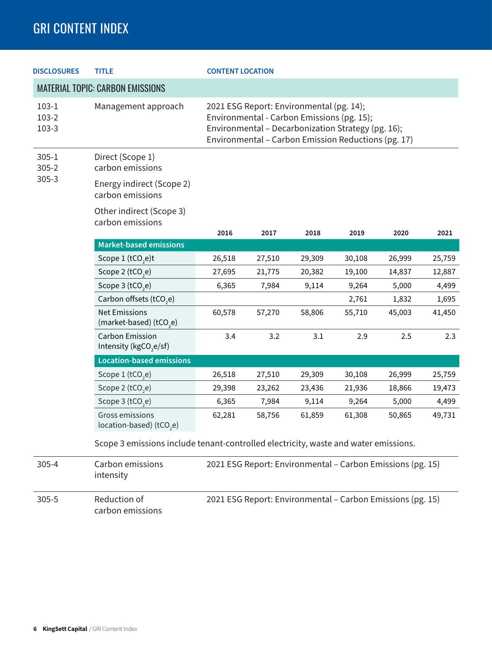| <b>DISCLOSURES</b>          | <b>TITLE</b><br><b>CONTENT LOCATION</b>                      |                                                                                                                                                                                                     |        |                                                            |        |        |        |  |  |  |
|-----------------------------|--------------------------------------------------------------|-----------------------------------------------------------------------------------------------------------------------------------------------------------------------------------------------------|--------|------------------------------------------------------------|--------|--------|--------|--|--|--|
|                             | <b>MATERIAL TOPIC: CARBON EMISSIONS</b>                      |                                                                                                                                                                                                     |        |                                                            |        |        |        |  |  |  |
| $103-1$<br>103-2<br>$103-3$ | Management approach                                          | 2021 ESG Report: Environmental (pg. 14);<br>Environmental - Carbon Emissions (pg. 15);<br>Environmental - Decarbonization Strategy (pg. 16);<br>Environmental - Carbon Emission Reductions (pg. 17) |        |                                                            |        |        |        |  |  |  |
| $305 - 1$<br>$305 - 2$      | Direct (Scope 1)<br>carbon emissions                         |                                                                                                                                                                                                     |        |                                                            |        |        |        |  |  |  |
| $305 - 3$                   | Energy indirect (Scope 2)<br>carbon emissions                |                                                                                                                                                                                                     |        |                                                            |        |        |        |  |  |  |
|                             | Other indirect (Scope 3)<br>carbon emissions                 |                                                                                                                                                                                                     |        |                                                            |        |        |        |  |  |  |
|                             |                                                              | 2016                                                                                                                                                                                                | 2017   | 2018                                                       | 2019   | 2020   | 2021   |  |  |  |
|                             | <b>Market-based emissions</b>                                |                                                                                                                                                                                                     |        |                                                            |        |        |        |  |  |  |
|                             | Scope 1 (tCO <sub>2</sub> e)t                                | 26,518                                                                                                                                                                                              | 27,510 | 29,309                                                     | 30,108 | 26,999 | 25,759 |  |  |  |
|                             | Scope 2 (tCO <sub>2</sub> e)                                 | 27,695                                                                                                                                                                                              | 21,775 | 20,382                                                     | 19,100 | 14,837 | 12,887 |  |  |  |
|                             | Scope 3 (tCO <sub>2</sub> e)                                 | 6,365                                                                                                                                                                                               | 7,984  | 9,114                                                      | 9,264  | 5,000  | 4,499  |  |  |  |
|                             | Carbon offsets (tCO <sub>2</sub> e)                          |                                                                                                                                                                                                     |        |                                                            | 2,761  | 1,832  | 1,695  |  |  |  |
|                             | <b>Net Emissions</b><br>(market-based) (tCO <sub>2</sub> e)  | 60,578                                                                                                                                                                                              | 57,270 | 58,806                                                     | 55,710 | 45,003 | 41,450 |  |  |  |
|                             | <b>Carbon Emission</b><br>Intensity (kgCO <sub>2</sub> e/sf) | 3.4                                                                                                                                                                                                 | 3.2    | 3.1                                                        | 2.9    | 2.5    | 2.3    |  |  |  |
|                             | <b>Location-based emissions</b>                              |                                                                                                                                                                                                     |        |                                                            |        |        |        |  |  |  |
|                             | Scope 1 (tCO <sub>2</sub> e)                                 | 26,518                                                                                                                                                                                              | 27,510 | 29,309                                                     | 30,108 | 26,999 | 25,759 |  |  |  |
|                             | Scope 2 (tCO <sub>2</sub> e)                                 | 29,398                                                                                                                                                                                              | 23,262 | 23,436                                                     | 21,936 | 18,866 | 19,473 |  |  |  |
|                             | Scope 3 (tCO <sub>2</sub> e)                                 | 6,365                                                                                                                                                                                               | 7,984  | 9,114                                                      | 9,264  | 5,000  | 4,499  |  |  |  |
|                             | Gross emissions<br>location-based) (tCO <sub>2</sub> e)      | 62,281                                                                                                                                                                                              | 58,756 | 61,859                                                     | 61,308 | 50,865 | 49,731 |  |  |  |
|                             |                                                              | Scope 3 emissions include tenant-controlled electricity, waste and water emissions.                                                                                                                 |        |                                                            |        |        |        |  |  |  |
| $305 - 4$                   | Carbon emissions<br>intensity                                | 2021 ESG Report: Environmental - Carbon Emissions (pg. 15)                                                                                                                                          |        |                                                            |        |        |        |  |  |  |
| $305 - 5$                   | Reduction of<br>carbon emissions                             |                                                                                                                                                                                                     |        | 2021 ESG Report: Environmental - Carbon Emissions (pg. 15) |        |        |        |  |  |  |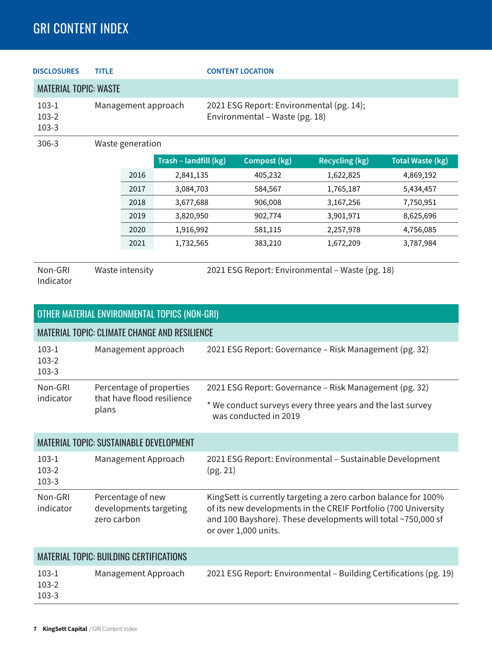| <b>DISCLOSURES</b>            | <b>TITLE</b>        |                       | <b>CONTENT LOCATION</b>                                                    |              |                |                         |  |
|-------------------------------|---------------------|-----------------------|----------------------------------------------------------------------------|--------------|----------------|-------------------------|--|
| <b>MATERIAL TOPIC: WASTE</b>  |                     |                       |                                                                            |              |                |                         |  |
| $103-1$<br>$103-2$<br>$103-3$ | Management approach |                       | 2021 ESG Report: Environmental (pg. 14);<br>Environmental - Waste (pg. 18) |              |                |                         |  |
| $306 - 3$                     | Waste generation    |                       |                                                                            |              |                |                         |  |
|                               |                     | Trash - landfill (kg) |                                                                            | Compost (kg) | Recycling (kg) | <b>Total Waste (kg)</b> |  |

|      | .         |         | .         | ້         |
|------|-----------|---------|-----------|-----------|
| 2016 | 2,841,135 | 405,232 | 1,622,825 | 4,869,192 |
| 2017 | 3,084,703 | 584,567 | 1,765,187 | 5,434,457 |
| 2018 | 3,677,688 | 906,008 | 3,167,256 | 7,750,951 |
| 2019 | 3,820,950 | 902,774 | 3,901,971 | 8,625,696 |
| 2020 | 1,916,992 | 581,115 | 2,257,978 | 4,756,085 |
| 2021 | 1,732,565 | 383,210 | 1,672,209 | 3,787,984 |

Non-GRI Indicator

Waste intensity 2021 ESG Report: Environmental – Waste (pg. 18)

|                                 | OTHER MATERIAL ENVIRONMENTAL TOPICS (NON-GRI)              |                                                                                                                                                                                                                          |
|---------------------------------|------------------------------------------------------------|--------------------------------------------------------------------------------------------------------------------------------------------------------------------------------------------------------------------------|
|                                 | <b>MATERIAL TOPIC: CLIMATE CHANGE AND RESILIENCE</b>       |                                                                                                                                                                                                                          |
| $103-1$<br>$103-2$<br>$103 - 3$ | Management approach                                        | 2021 ESG Report: Governance - Risk Management (pg. 32)                                                                                                                                                                   |
| Non-GRI                         | Percentage of properties                                   | 2021 ESG Report: Governance - Risk Management (pg. 32)                                                                                                                                                                   |
| indicator                       | that have flood resilience<br>plans                        | * We conduct surveys every three years and the last survey<br>was conducted in 2019                                                                                                                                      |
|                                 | <b>MATERIAL TOPIC: SUSTAINABLE DEVELOPMENT</b>             |                                                                                                                                                                                                                          |
| $103-1$<br>$103-2$<br>$103 - 3$ | Management Approach                                        | 2021 ESG Report: Environmental - Sustainable Development<br>(pg. 21)                                                                                                                                                     |
| Non-GRI<br>indicator            | Percentage of new<br>developments targeting<br>zero carbon | KingSett is currently targeting a zero carbon balance for 100%<br>of its new developments in the CREIF Portfolio (700 University<br>and 100 Bayshore). These developments will total ~750,000 sf<br>or over 1,000 units. |
|                                 | <b>MATERIAL TOPIC: BUILDING CERTIFICATIONS</b>             |                                                                                                                                                                                                                          |
| $103-1$                         | Management Approach                                        | 2021 ESG Report: Environmental - Building Certifications (pg. 19)                                                                                                                                                        |

103-2 103-3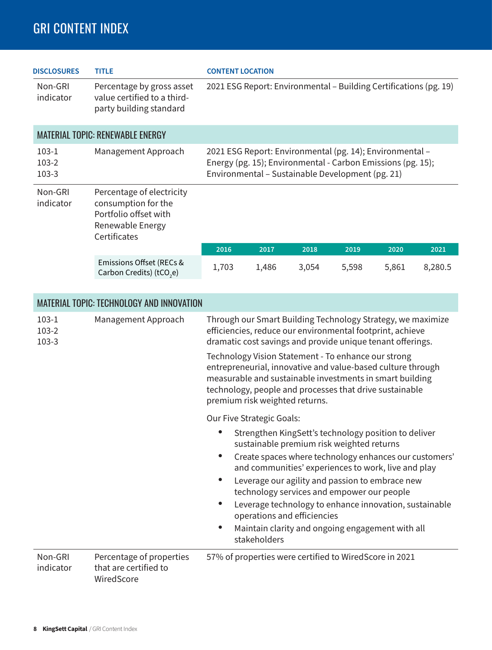| <b>DISCLOSURES</b>                                                                                                                    | <b>TITLE</b>                                                                        | <b>CONTENT LOCATION</b>                                                                                                                                                     |       |       |       |       |         |
|---------------------------------------------------------------------------------------------------------------------------------------|-------------------------------------------------------------------------------------|-----------------------------------------------------------------------------------------------------------------------------------------------------------------------------|-------|-------|-------|-------|---------|
| Non-GRI<br>indicator                                                                                                                  | Percentage by gross asset<br>value certified to a third-<br>party building standard | 2021 ESG Report: Environmental - Building Certifications (pg. 19)                                                                                                           |       |       |       |       |         |
|                                                                                                                                       | MATERIAL TOPIC: RENEWABLE ENERGY                                                    |                                                                                                                                                                             |       |       |       |       |         |
| $103-1$<br>$103-2$<br>$103-3$                                                                                                         | Management Approach                                                                 | 2021 ESG Report: Environmental (pg. 14); Environmental -<br>Energy (pg. 15); Environmental - Carbon Emissions (pg. 15);<br>Environmental - Sustainable Development (pg. 21) |       |       |       |       |         |
| Non-GRI<br>Percentage of electricity<br>consumption for the<br>indicator<br>Portfolio offset with<br>Renewable Energy<br>Certificates |                                                                                     |                                                                                                                                                                             |       |       |       |       |         |
|                                                                                                                                       |                                                                                     | 2016                                                                                                                                                                        | 2017  | 2018  | 2019  | 2020  | 2021    |
|                                                                                                                                       | Emissions Offset (RECs &<br>Carbon Credits) (tCO <sub>2</sub> e)                    | 1,703                                                                                                                                                                       | 1,486 | 3,054 | 5,598 | 5,861 | 8,280.5 |
|                                                                                                                                       | MATERIAL TOPIC: TECHNOLOGY AND INNOVATION                                           |                                                                                                                                                                             |       |       |       |       |         |

|                               | <b>MAILINAL TULIO: ILUHINULUUT AND INNUVATIUN</b>               |                                                                                                                                                                                                                                                                             |  |  |  |  |
|-------------------------------|-----------------------------------------------------------------|-----------------------------------------------------------------------------------------------------------------------------------------------------------------------------------------------------------------------------------------------------------------------------|--|--|--|--|
| $103-1$<br>103-2<br>$103 - 3$ | Management Approach                                             | Through our Smart Building Technology Strategy, we maximize<br>efficiencies, reduce our environmental footprint, achieve<br>dramatic cost savings and provide unique tenant offerings.                                                                                      |  |  |  |  |
|                               |                                                                 | Technology Vision Statement - To enhance our strong<br>entrepreneurial, innovative and value-based culture through<br>measurable and sustainable investments in smart building<br>technology, people and processes that drive sustainable<br>premium risk weighted returns. |  |  |  |  |
|                               |                                                                 | Our Five Strategic Goals:                                                                                                                                                                                                                                                   |  |  |  |  |
|                               |                                                                 | Strengthen KingSett's technology position to deliver<br>sustainable premium risk weighted returns                                                                                                                                                                           |  |  |  |  |
|                               |                                                                 | Create spaces where technology enhances our customers'<br>and communities' experiences to work, live and play                                                                                                                                                               |  |  |  |  |
|                               |                                                                 | Leverage our agility and passion to embrace new<br>technology services and empower our people                                                                                                                                                                               |  |  |  |  |
|                               |                                                                 | Leverage technology to enhance innovation, sustainable<br>operations and efficiencies                                                                                                                                                                                       |  |  |  |  |
|                               |                                                                 | Maintain clarity and ongoing engagement with all<br>stakeholders                                                                                                                                                                                                            |  |  |  |  |
| Non-GRI<br>indicator          | Percentage of properties<br>that are certified to<br>WiredScore | 57% of properties were certified to WiredScore in 2021                                                                                                                                                                                                                      |  |  |  |  |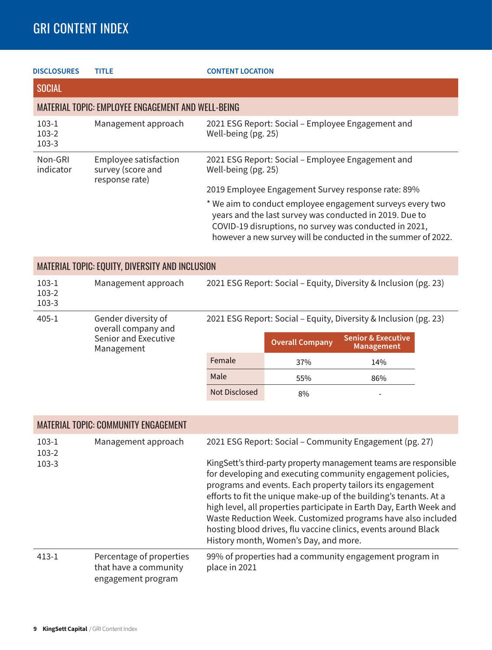| <b>DISCLOSURES</b>                                     | <b>TITLE</b>                                                       | <b>CONTENT LOCATION</b>                                                                                                                                                                                                                                                                               |                                                                                                                                                                                                                                                                                                                                          |                               |  |  |  |
|--------------------------------------------------------|--------------------------------------------------------------------|-------------------------------------------------------------------------------------------------------------------------------------------------------------------------------------------------------------------------------------------------------------------------------------------------------|------------------------------------------------------------------------------------------------------------------------------------------------------------------------------------------------------------------------------------------------------------------------------------------------------------------------------------------|-------------------------------|--|--|--|
| <b>SOCIAL</b>                                          |                                                                    |                                                                                                                                                                                                                                                                                                       |                                                                                                                                                                                                                                                                                                                                          |                               |  |  |  |
|                                                        | <b>MATERIAL TOPIC: EMPLOYEE ENGAGEMENT AND WELL-BEING</b>          |                                                                                                                                                                                                                                                                                                       |                                                                                                                                                                                                                                                                                                                                          |                               |  |  |  |
| $103-1$<br>$103-2$<br>$103-3$                          | Management approach                                                |                                                                                                                                                                                                                                                                                                       | 2021 ESG Report: Social - Employee Engagement and<br>Well-being (pg. 25)                                                                                                                                                                                                                                                                 |                               |  |  |  |
| Non-GRI<br>indicator                                   | Employee satisfaction<br>survey (score and<br>response rate)       | 2021 ESG Report: Social - Employee Engagement and                                                                                                                                                                                                                                                     |                                                                                                                                                                                                                                                                                                                                          |                               |  |  |  |
|                                                        |                                                                    | 2019 Employee Engagement Survey response rate: 89%<br>* We aim to conduct employee engagement surveys every two<br>years and the last survey was conducted in 2019. Due to<br>COVID-19 disruptions, no survey was conducted in 2021,<br>however a new survey will be conducted in the summer of 2022. |                                                                                                                                                                                                                                                                                                                                          |                               |  |  |  |
| <b>MATERIAL TOPIC: EQUITY, DIVERSITY AND INCLUSION</b> |                                                                    |                                                                                                                                                                                                                                                                                                       |                                                                                                                                                                                                                                                                                                                                          |                               |  |  |  |
| $103-1$<br>$103-2$<br>$103 - 3$                        | Management approach                                                | 2021 ESG Report: Social - Equity, Diversity & Inclusion (pg. 23)                                                                                                                                                                                                                                      |                                                                                                                                                                                                                                                                                                                                          |                               |  |  |  |
| $405 - 1$                                              | Gender diversity of<br>overall company and<br>Senior and Executive |                                                                                                                                                                                                                                                                                                       | 2021 ESG Report: Social - Equity, Diversity & Inclusion (pg. 23)<br><b>Overall Company</b>                                                                                                                                                                                                                                               | <b>Senior &amp; Executive</b> |  |  |  |
|                                                        | Management                                                         | Female                                                                                                                                                                                                                                                                                                |                                                                                                                                                                                                                                                                                                                                          | <b>Management</b>             |  |  |  |
|                                                        |                                                                    | Male                                                                                                                                                                                                                                                                                                  | 37%                                                                                                                                                                                                                                                                                                                                      | 14%                           |  |  |  |
|                                                        |                                                                    | <b>Not Disclosed</b>                                                                                                                                                                                                                                                                                  | 55%<br>8%                                                                                                                                                                                                                                                                                                                                | 86%                           |  |  |  |
|                                                        |                                                                    |                                                                                                                                                                                                                                                                                                       |                                                                                                                                                                                                                                                                                                                                          |                               |  |  |  |
|                                                        | <b>MATERIAL TOPIC: COMMUNITY ENGAGEMENT</b>                        |                                                                                                                                                                                                                                                                                                       |                                                                                                                                                                                                                                                                                                                                          |                               |  |  |  |
| $103-1$<br>103-2                                       | Management approach                                                | 2021 ESG Report: Social - Community Engagement (pg. 27)                                                                                                                                                                                                                                               |                                                                                                                                                                                                                                                                                                                                          |                               |  |  |  |
| $103-3$                                                |                                                                    |                                                                                                                                                                                                                                                                                                       | KingSett's third-party property management teams are responsible<br>for developing and executing community engagement policies,<br>programs and events. Each property tailors its engagement<br>efforts to fit the unique make-up of the building's tenants. At a<br>high level, all properties participate in Earth Day, Earth Week and |                               |  |  |  |

|       |                                                                         | Waste Reduction Week. Customized programs have also included<br>hosting blood drives, flu vaccine clinics, events around Black<br>History month, Women's Day, and more. |
|-------|-------------------------------------------------------------------------|-------------------------------------------------------------------------------------------------------------------------------------------------------------------------|
| 413-1 | Percentage of properties<br>that have a community<br>engagement program | 99% of properties had a community engagement program in<br>place in 2021                                                                                                |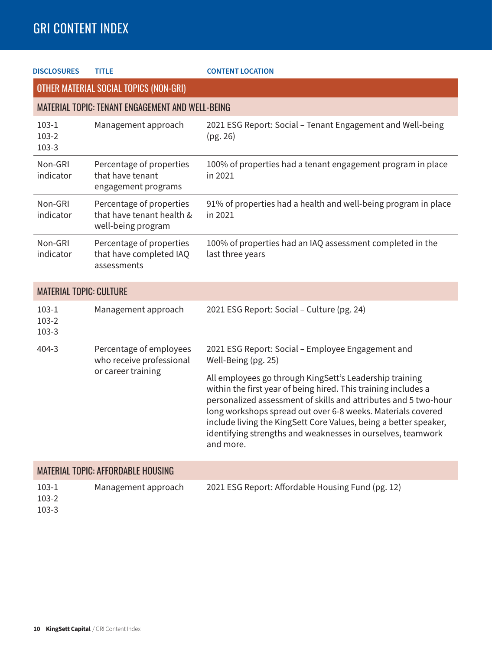| <b>DISCLOSURES</b>                                      | <b>TITLE</b>                                                                | <b>CONTENT LOCATION</b>                                                                                                                                                                                                                                                                                                                                                                                     |  |  |  |
|---------------------------------------------------------|-----------------------------------------------------------------------------|-------------------------------------------------------------------------------------------------------------------------------------------------------------------------------------------------------------------------------------------------------------------------------------------------------------------------------------------------------------------------------------------------------------|--|--|--|
|                                                         | OTHER MATERIAL SOCIAL TOPICS (NON-GRI)                                      |                                                                                                                                                                                                                                                                                                                                                                                                             |  |  |  |
| <b>MATERIAL TOPIC: TENANT ENGAGEMENT AND WELL-BEING</b> |                                                                             |                                                                                                                                                                                                                                                                                                                                                                                                             |  |  |  |
| $103-1$<br>$103-2$<br>$103 - 3$                         | Management approach                                                         | 2021 ESG Report: Social - Tenant Engagement and Well-being<br>(pg. 26)                                                                                                                                                                                                                                                                                                                                      |  |  |  |
| Non-GRI<br>indicator                                    | Percentage of properties<br>that have tenant<br>engagement programs         | 100% of properties had a tenant engagement program in place<br>in 2021                                                                                                                                                                                                                                                                                                                                      |  |  |  |
| Non-GRI<br>indicator                                    | Percentage of properties<br>that have tenant health &<br>well-being program | 91% of properties had a health and well-being program in place<br>in 2021                                                                                                                                                                                                                                                                                                                                   |  |  |  |
| Non-GRI<br>indicator                                    | Percentage of properties<br>that have completed IAQ<br>assessments          | 100% of properties had an IAQ assessment completed in the<br>last three years                                                                                                                                                                                                                                                                                                                               |  |  |  |
| <b>MATERIAL TOPIC: CULTURE</b>                          |                                                                             |                                                                                                                                                                                                                                                                                                                                                                                                             |  |  |  |
| $103-1$<br>$103-2$<br>$103 - 3$                         | Management approach                                                         | 2021 ESG Report: Social - Culture (pg. 24)                                                                                                                                                                                                                                                                                                                                                                  |  |  |  |
| $404 - 3$                                               | Percentage of employees<br>who receive professional<br>or career training   | 2021 ESG Report: Social - Employee Engagement and<br>Well-Being (pg. 25)                                                                                                                                                                                                                                                                                                                                    |  |  |  |
|                                                         |                                                                             | All employees go through KingSett's Leadership training<br>within the first year of being hired. This training includes a<br>personalized assessment of skills and attributes and 5 two-hour<br>long workshops spread out over 6-8 weeks. Materials covered<br>include living the KingSett Core Values, being a better speaker,<br>identifying strengths and weaknesses in ourselves, teamwork<br>and more. |  |  |  |
| <b>MATERIAL TOPIC: AFFORDABLE HOUSING</b>               |                                                                             |                                                                                                                                                                                                                                                                                                                                                                                                             |  |  |  |
| $103-1$<br>103-2<br>1022                                | Management approach                                                         | 2021 ESG Report: Affordable Housing Fund (pg. 12)                                                                                                                                                                                                                                                                                                                                                           |  |  |  |

103-3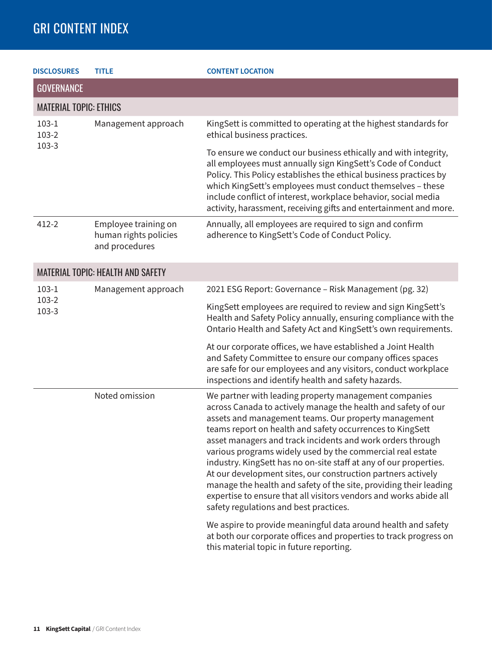| <b>DISCLOSURES</b>            | <b>TITLE</b>                                                    | <b>CONTENT LOCATION</b>                                                                                                                                                                                                                                                                                                                                                                                                                                                                                                                                                                                                                                                                          |
|-------------------------------|-----------------------------------------------------------------|--------------------------------------------------------------------------------------------------------------------------------------------------------------------------------------------------------------------------------------------------------------------------------------------------------------------------------------------------------------------------------------------------------------------------------------------------------------------------------------------------------------------------------------------------------------------------------------------------------------------------------------------------------------------------------------------------|
| <b>GOVERNANCE</b>             |                                                                 |                                                                                                                                                                                                                                                                                                                                                                                                                                                                                                                                                                                                                                                                                                  |
| <b>MATERIAL TOPIC: ETHICS</b> |                                                                 |                                                                                                                                                                                                                                                                                                                                                                                                                                                                                                                                                                                                                                                                                                  |
| $103-1$<br>$103-2$            | Management approach                                             | KingSett is committed to operating at the highest standards for<br>ethical business practices.                                                                                                                                                                                                                                                                                                                                                                                                                                                                                                                                                                                                   |
| 103-3                         |                                                                 | To ensure we conduct our business ethically and with integrity,<br>all employees must annually sign KingSett's Code of Conduct<br>Policy. This Policy establishes the ethical business practices by<br>which KingSett's employees must conduct themselves - these<br>include conflict of interest, workplace behavior, social media<br>activity, harassment, receiving gifts and entertainment and more.                                                                                                                                                                                                                                                                                         |
| $412 - 2$                     | Employee training on<br>human rights policies<br>and procedures | Annually, all employees are required to sign and confirm<br>adherence to KingSett's Code of Conduct Policy.                                                                                                                                                                                                                                                                                                                                                                                                                                                                                                                                                                                      |
|                               | <b>MATERIAL TOPIC: HEALTH AND SAFETY</b>                        |                                                                                                                                                                                                                                                                                                                                                                                                                                                                                                                                                                                                                                                                                                  |
| $103-1$                       | Management approach                                             | 2021 ESG Report: Governance - Risk Management (pg. 32)                                                                                                                                                                                                                                                                                                                                                                                                                                                                                                                                                                                                                                           |
| $103-2$<br>$103-3$            |                                                                 | KingSett employees are required to review and sign KingSett's<br>Health and Safety Policy annually, ensuring compliance with the<br>Ontario Health and Safety Act and KingSett's own requirements.                                                                                                                                                                                                                                                                                                                                                                                                                                                                                               |
|                               |                                                                 | At our corporate offices, we have established a Joint Health<br>and Safety Committee to ensure our company offices spaces<br>are safe for our employees and any visitors, conduct workplace<br>inspections and identify health and safety hazards.                                                                                                                                                                                                                                                                                                                                                                                                                                               |
|                               | Noted omission                                                  | We partner with leading property management companies<br>across Canada to actively manage the health and safety of our<br>assets and management teams. Our property management<br>teams report on health and safety occurrences to KingSett<br>asset managers and track incidents and work orders through<br>various programs widely used by the commercial real estate<br>industry. KingSett has no on-site staff at any of our properties.<br>At our development sites, our construction partners actively<br>manage the health and safety of the site, providing their leading<br>expertise to ensure that all visitors vendors and works abide all<br>safety regulations and best practices. |
|                               |                                                                 | We aspire to provide meaningful data around health and safety<br>at both our corporate offices and properties to track progress on<br>this material topic in future reporting.                                                                                                                                                                                                                                                                                                                                                                                                                                                                                                                   |